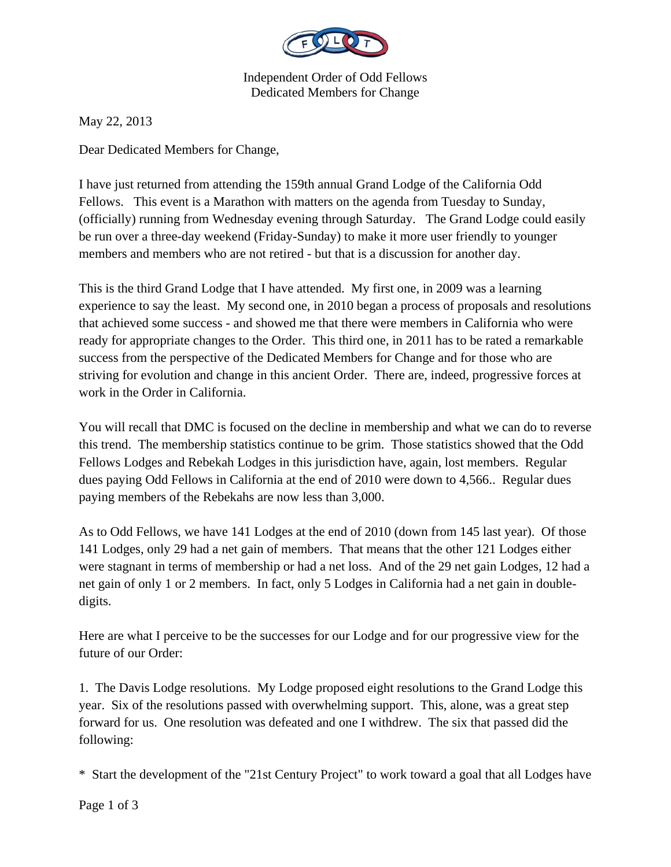

Independent Order of Odd Fellows Dedicated Members for Change

May 22, 2013

Dear Dedicated Members for Change,

I have just returned from attending the 159th annual Grand Lodge of the California Odd Fellows. This event is a Marathon with matters on the agenda from Tuesday to Sunday, (officially) running from Wednesday evening through Saturday. The Grand Lodge could easily be run over a three-day weekend (Friday-Sunday) to make it more user friendly to younger members and members who are not retired - but that is a discussion for another day.

This is the third Grand Lodge that I have attended. My first one, in 2009 was a learning experience to say the least. My second one, in 2010 began a process of proposals and resolutions that achieved some success - and showed me that there were members in California who were ready for appropriate changes to the Order. This third one, in 2011 has to be rated a remarkable success from the perspective of the Dedicated Members for Change and for those who are striving for evolution and change in this ancient Order. There are, indeed, progressive forces at work in the Order in California.

You will recall that DMC is focused on the decline in membership and what we can do to reverse this trend. The membership statistics continue to be grim. Those statistics showed that the Odd Fellows Lodges and Rebekah Lodges in this jurisdiction have, again, lost members. Regular dues paying Odd Fellows in California at the end of 2010 were down to 4,566.. Regular dues paying members of the Rebekahs are now less than 3,000.

As to Odd Fellows, we have 141 Lodges at the end of 2010 (down from 145 last year). Of those 141 Lodges, only 29 had a net gain of members. That means that the other 121 Lodges either were stagnant in terms of membership or had a net loss. And of the 29 net gain Lodges, 12 had a net gain of only 1 or 2 members. In fact, only 5 Lodges in California had a net gain in doubledigits.

Here are what I perceive to be the successes for our Lodge and for our progressive view for the future of our Order:

1. The Davis Lodge resolutions. My Lodge proposed eight resolutions to the Grand Lodge this year. Six of the resolutions passed with overwhelming support. This, alone, was a great step forward for us. One resolution was defeated and one I withdrew. The six that passed did the following:

\* Start the development of the "21st Century Project" to work toward a goal that all Lodges have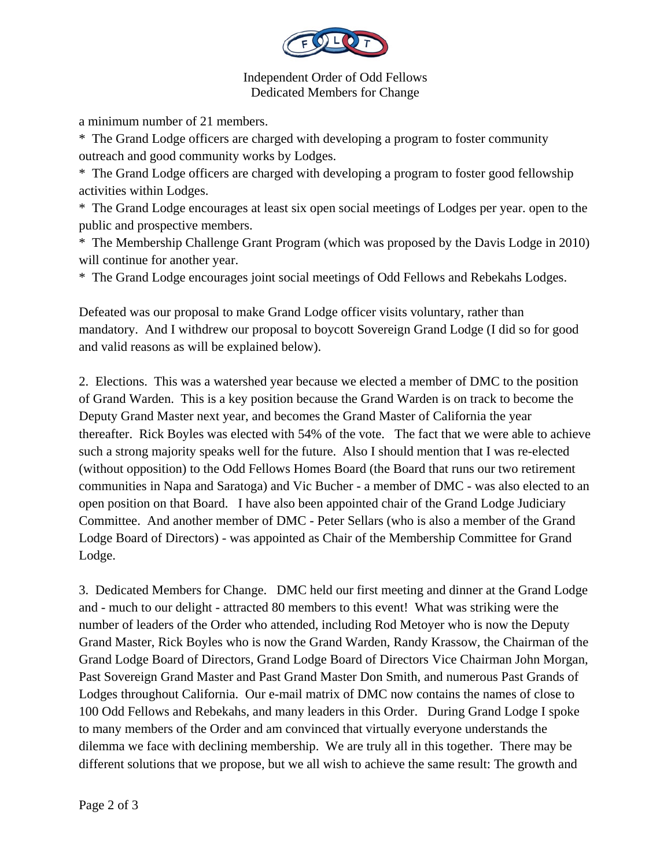

Independent Order of Odd Fellows Dedicated Members for Change

a minimum number of 21 members.

\* The Grand Lodge officers are charged with developing a program to foster community outreach and good community works by Lodges.

\* The Grand Lodge officers are charged with developing a program to foster good fellowship activities within Lodges.

\* The Grand Lodge encourages at least six open social meetings of Lodges per year. open to the public and prospective members.

\* The Membership Challenge Grant Program (which was proposed by the Davis Lodge in 2010) will continue for another year.

\* The Grand Lodge encourages joint social meetings of Odd Fellows and Rebekahs Lodges.

Defeated was our proposal to make Grand Lodge officer visits voluntary, rather than mandatory. And I withdrew our proposal to boycott Sovereign Grand Lodge (I did so for good and valid reasons as will be explained below).

2. Elections. This was a watershed year because we elected a member of DMC to the position of Grand Warden. This is a key position because the Grand Warden is on track to become the Deputy Grand Master next year, and becomes the Grand Master of California the year thereafter. Rick Boyles was elected with 54% of the vote. The fact that we were able to achieve such a strong majority speaks well for the future. Also I should mention that I was re-elected (without opposition) to the Odd Fellows Homes Board (the Board that runs our two retirement communities in Napa and Saratoga) and Vic Bucher - a member of DMC - was also elected to an open position on that Board. I have also been appointed chair of the Grand Lodge Judiciary Committee. And another member of DMC - Peter Sellars (who is also a member of the Grand Lodge Board of Directors) - was appointed as Chair of the Membership Committee for Grand Lodge.

3. Dedicated Members for Change. DMC held our first meeting and dinner at the Grand Lodge and - much to our delight - attracted 80 members to this event! What was striking were the number of leaders of the Order who attended, including Rod Metoyer who is now the Deputy Grand Master, Rick Boyles who is now the Grand Warden, Randy Krassow, the Chairman of the Grand Lodge Board of Directors, Grand Lodge Board of Directors Vice Chairman John Morgan, Past Sovereign Grand Master and Past Grand Master Don Smith, and numerous Past Grands of Lodges throughout California. Our e-mail matrix of DMC now contains the names of close to 100 Odd Fellows and Rebekahs, and many leaders in this Order. During Grand Lodge I spoke to many members of the Order and am convinced that virtually everyone understands the dilemma we face with declining membership. We are truly all in this together. There may be different solutions that we propose, but we all wish to achieve the same result: The growth and